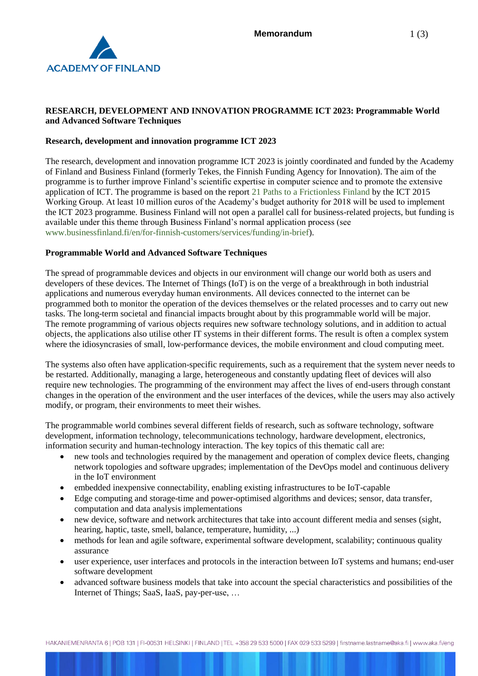

# **RESEARCH, DEVELOPMENT AND INNOVATION PROGRAMME ICT 2023: Programmable World and Advanced Software Techniques**

## **Research, development and innovation programme ICT 2023**

The research, development and innovation programme ICT 2023 is jointly coordinated and funded by the Academy of Finland and Business Finland (formerly Tekes, the Finnish Funding Agency for Innovation). The aim of the programme is to further improve Finland's scientific expertise in computer science and to promote the extensive application of ICT. The programme is based on the report [21 Paths to a Frictionless Finland](https://tem.fi/documents/1410877/3437254/21+Paths+to+a+frictionless+Finland+15052013.pdf) by the ICT 2015 Working Group. At least 10 million euros of the Academy's budget authority for 2018 will be used to implement the ICT 2023 programme. Business Finland will not open a parallel call for business-related projects, but funding is available under this theme through Business Finland's normal application process (see [www.businessfinland.fi/en/for-finnish-customers/services/funding/in-brief\)](http://www.businessfinland.fi/en/for-finnish-customers/services/funding/in-brief).

#### **Programmable World and Advanced Software Techniques**

The spread of programmable devices and objects in our environment will change our world both as users and developers of these devices. The Internet of Things (IoT) is on the verge of a breakthrough in both industrial applications and numerous everyday human environments. All devices connected to the internet can be programmed both to monitor the operation of the devices themselves or the related processes and to carry out new tasks. The long-term societal and financial impacts brought about by this programmable world will be major. The remote programming of various objects requires new software technology solutions, and in addition to actual objects, the applications also utilise other IT systems in their different forms. The result is often a complex system where the idiosyncrasies of small, low-performance devices, the mobile environment and cloud computing meet.

The systems also often have application-specific requirements, such as a requirement that the system never needs to be restarted. Additionally, managing a large, heterogeneous and constantly updating fleet of devices will also require new technologies. The programming of the environment may affect the lives of end-users through constant changes in the operation of the environment and the user interfaces of the devices, while the users may also actively modify, or program, their environments to meet their wishes.

The programmable world combines several different fields of research, such as software technology, software development, information technology, telecommunications technology, hardware development, electronics, information security and human-technology interaction. The key topics of this thematic call are:

- new tools and technologies required by the management and operation of complex device fleets, changing network topologies and software upgrades; implementation of the DevOps model and continuous delivery in the IoT environment
- embedded inexpensive connectability, enabling existing infrastructures to be IoT-capable
- Edge computing and storage-time and power-optimised algorithms and devices; sensor, data transfer, computation and data analysis implementations
- new device, software and network architectures that take into account different media and senses (sight, hearing, haptic, taste, smell, balance, temperature, humidity, ...)
- methods for lean and agile software, experimental software development, scalability; continuous quality assurance
- user experience, user interfaces and protocols in the interaction between IoT systems and humans; end-user software development
- advanced software business models that take into account the special characteristics and possibilities of the Internet of Things; SaaS, IaaS, pay-per-use, …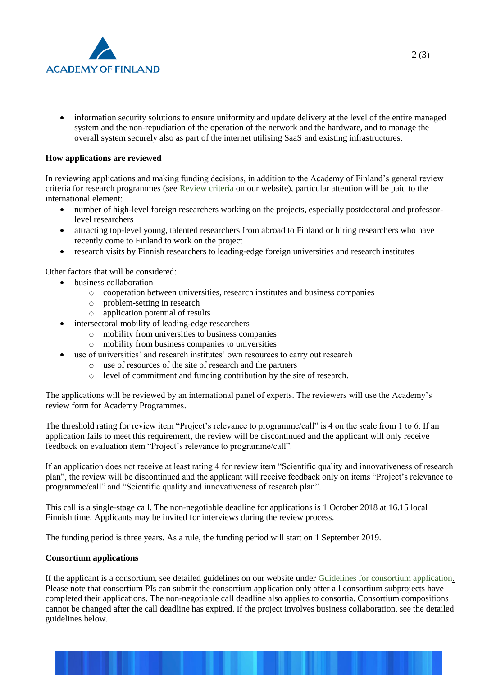

• information security solutions to ensure uniformity and update delivery at the level of the entire managed system and the non-repudiation of the operation of the network and the hardware, and to manage the overall system securely also as part of the internet utilising SaaS and existing infrastructures.

## **How applications are reviewed**

In reviewing applications and making funding decisions, in addition to the Academy of Finland's general review criteria for research programmes (see [Review criteria](http://www.aka.fi/en/review-and-funding-decisions/how-applications-are-reviewed/review-criteria/) on our website), particular attention will be paid to the international element:

- number of high-level foreign researchers working on the projects, especially postdoctoral and professorlevel researchers
- attracting top-level young, talented researchers from abroad to Finland or hiring researchers who have recently come to Finland to work on the project
- research visits by Finnish researchers to leading-edge foreign universities and research institutes

Other factors that will be considered:

- business collaboration
	- o cooperation between universities, research institutes and business companies
	- o problem-setting in research
	- o application potential of results
- intersectoral mobility of leading-edge researchers
	- o mobility from universities to business companies
	- o mobility from business companies to universities
- use of universities' and research institutes' own resources to carry out research
	- o use of resources of the site of research and the partners
	- o level of commitment and funding contribution by the site of research.

The applications will be reviewed by an international panel of experts. The reviewers will use the Academy's review form for Academy Programmes.

The threshold rating for review item "Project's relevance to programme/call" is 4 on the scale from 1 to 6. If an application fails to meet this requirement, the review will be discontinued and the applicant will only receive feedback on evaluation item "Project's relevance to programme/call".

If an application does not receive at least rating 4 for review item "Scientific quality and innovativeness of research plan", the review will be discontinued and the applicant will receive feedback only on items "Project's relevance to programme/call" and "Scientific quality and innovativeness of research plan".

This call is a single-stage call. The non-negotiable deadline for applications is 1 October 2018 at 16.15 local Finnish time. Applicants may be invited for interviews during the review process.

The funding period is three years. As a rule, the funding period will start on 1 September 2019.

#### **Consortium applications**

If the applicant is a consortium, see detailed guidelines on our website under [Guidelines for consortium application.](http://www.aka.fi/en/funding/how-to-apply/application-guidelines/guidelines-for-consortium-application/) Please note that consortium PIs can submit the consortium application only after all consortium subprojects have completed their applications. The non-negotiable call deadline also applies to consortia. Consortium compositions cannot be changed after the call deadline has expired. If the project involves business collaboration, see the detailed guidelines below.